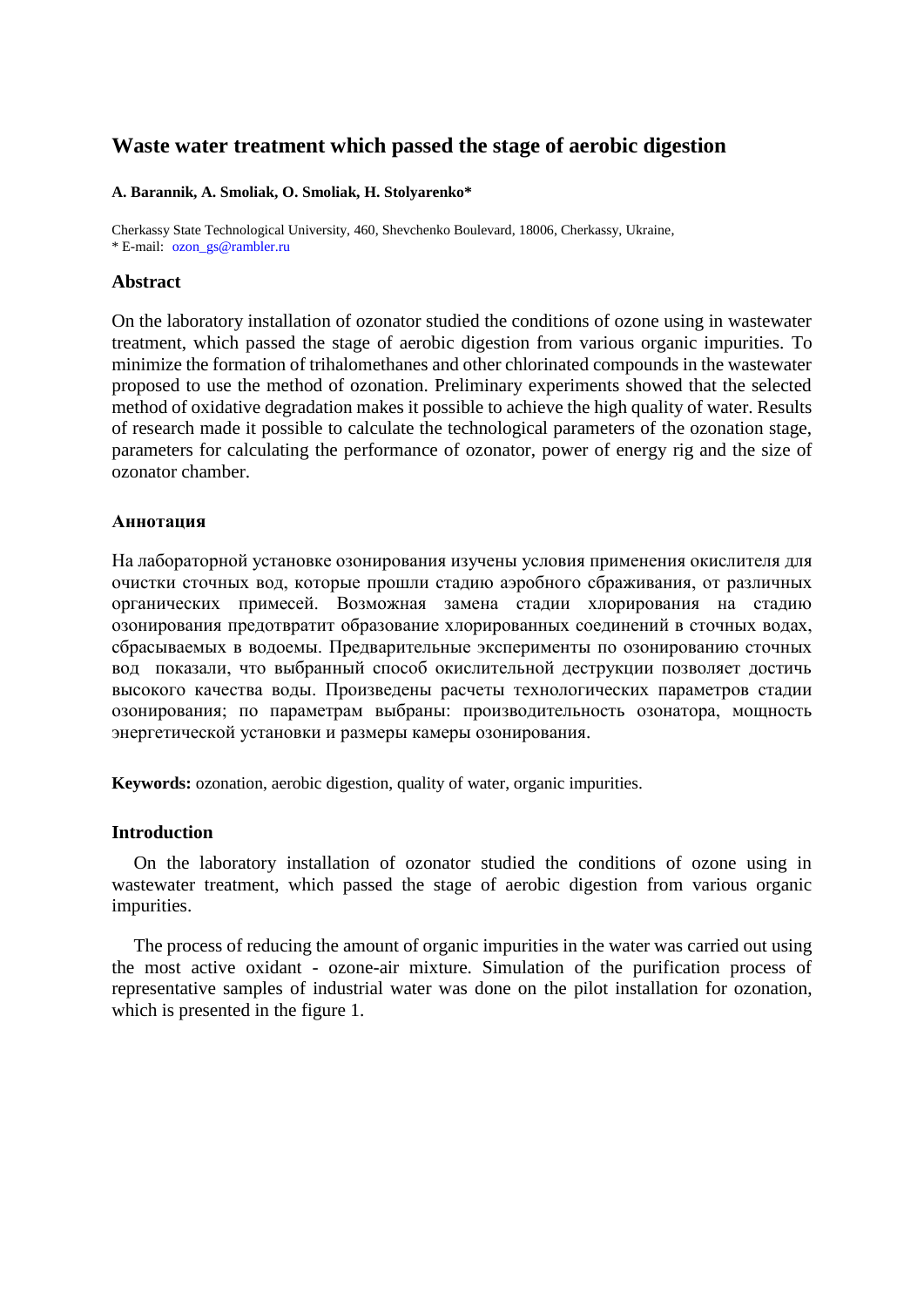# **Waste water treatment which passed the stage of aerobic digestion**

### **A. Barannik, A. Smoliak, O. Smoliak, H. Stolyarenko\***

Cherkassy State Technological University, 460, Shevchenko Boulevard, 18006, Cherkassy, Ukraine, \* E-mail: [ozon\\_gs@rambler.ru](mailto:ozon_gs@rambler.ru)

## **Abstract**

On the laboratory installation of ozonator studied the conditions of ozone using in wastewater treatment, which passed the stage of aerobic digestion from various organic impurities. To minimize the formation of trihalomethanes and other chlorinated compounds in the wastewater proposed to use the method of ozonation. Preliminary experiments showed that the selected method of oxidative degradation makes it possible to achieve the high quality of water. Results of research made it possible to calculate the technological parameters of the ozonation stage, parameters for calculating the performance of ozonator, power of energy rig and the size of ozonator chamber.

## **Аннотация**

На лабораторной установке озонирования изучены условия применения окислителя для очистки сточных вод, которые прошли стадию аэробного сбраживания, от различных органических примесей. Возможная замена стадии хлорирования на стадию озонирования предотвратит образование хлорированных соединений в сточных водах, сбрасываемых в водоемы. Предварительные эксперименты по озонированию сточных вод показали, что выбранный способ окислительной деструкции позволяет достичь высокого качества воды. Произведены расчеты технологических параметров стадии озонирования; по параметрам выбраны: производительность озонатора, мощность энергетической установки и размеры камеры озонирования.

**Keywords:** ozonation, aerobic digestion, quality of water, organic impurities.

# **Introduction**

On the laboratory installation of ozonator studied the conditions of ozone using in wastewater treatment, which passed the stage of aerobic digestion from various organic impurities.

The process of reducing the amount of organic impurities in the water was carried out using the most active oxidant - ozone-air mixture. Simulation of the purification process of representative samples of industrial water was done on the pilot installation for ozonation, which is presented in the figure 1.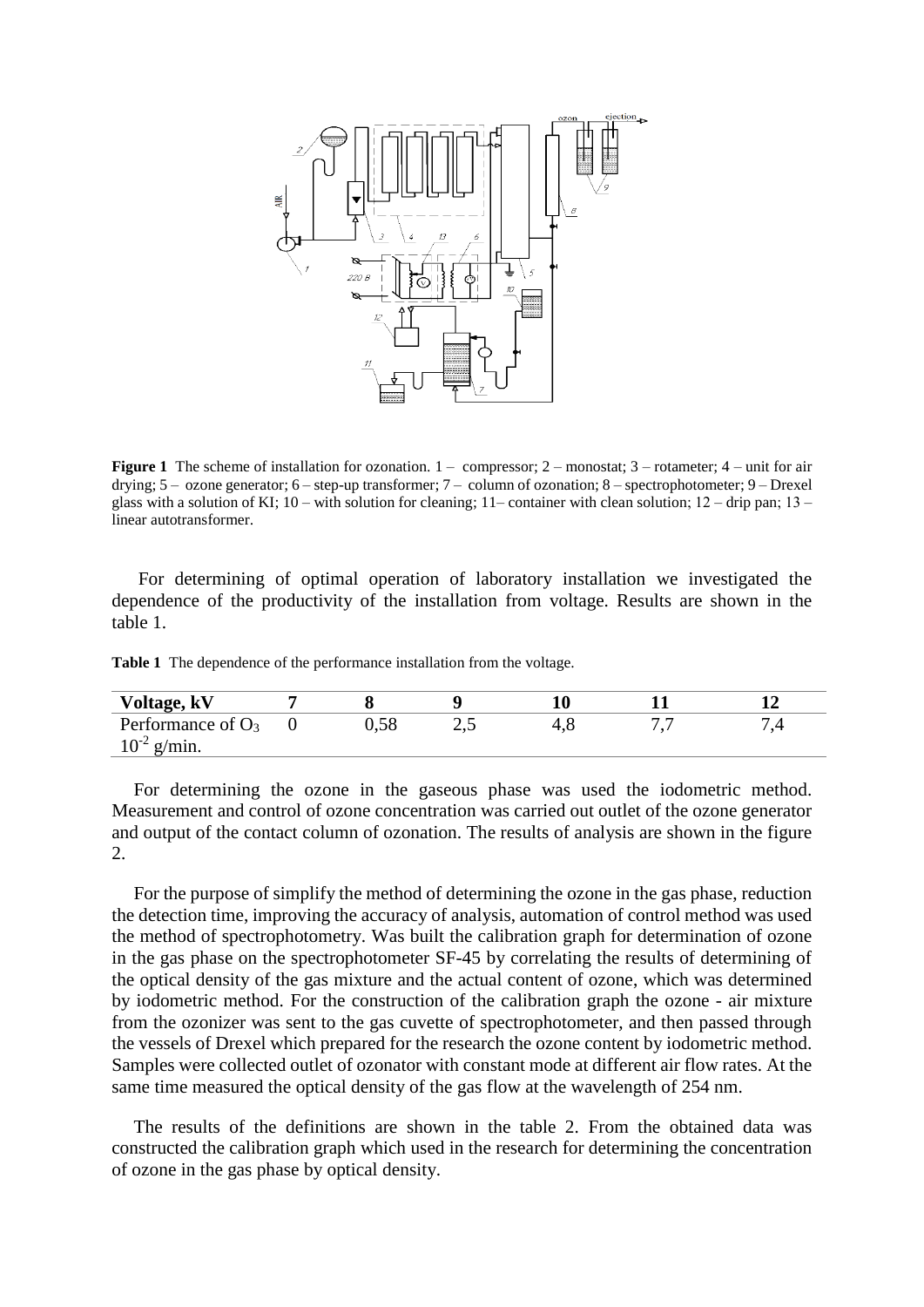

**Figure 1** The scheme of installation for ozonation.  $1 -$  compressor;  $2 -$  monostat;  $3 -$  rotameter;  $4 -$  unit for air drying; 5 – ozone generator; 6 – step-up transformer; 7 – column of ozonation; 8 – spectrophotometer; 9 – Drexel glass with a solution of KI;  $10 -$  with solution for cleaning;  $11 -$  container with clean solution;  $12 -$  drip pan;  $13$ linear autotransformer.

For determining of optimal operation of laboratory installation we investigated the dependence of the productivity of the installation from voltage. Results are shown in the table 1.

**Table 1** The dependence of the performance installation from the voltage.

| Voltage, kV          |  |    |  |  |
|----------------------|--|----|--|--|
| Performance of $O_3$ |  | ∠. |  |  |
| $10^{-2}$ g/min.     |  |    |  |  |

For determining the ozone in the gaseous phase was used the iodometric method. Measurement and control of ozone concentration was carried out outlet of the ozone generator and output of the contact column of ozonation. The results of analysis are shown in the figure 2.

For the purpose of simplify the method of determining the ozone in the gas phase, reduction the detection time, improving the accuracy of analysis, automation of control method was used the method of spectrophotometry. Was built the calibration graph for determination of ozone in the gas phase on the spectrophotometer SF-45 by correlating the results of determining of the optical density of the gas mixture and the actual content of ozone, which was determined by iodometric method. For the construction of the calibration graph the ozone - air mixture from the ozonizer was sent to the gas cuvette of spectrophotometer, and then passed through the vessels of Drexel which prepared for the research the ozone content by iodometric method. Samples were collected outlet of ozonator with constant mode at different air flow rates. At the same time measured the optical density of the gas flow at the wavelength of 254 nm.

The results of the definitions are shown in the table 2. From the obtained data was constructed the calibration graph which used in the research for determining the concentration of ozone in the gas phase by optical density.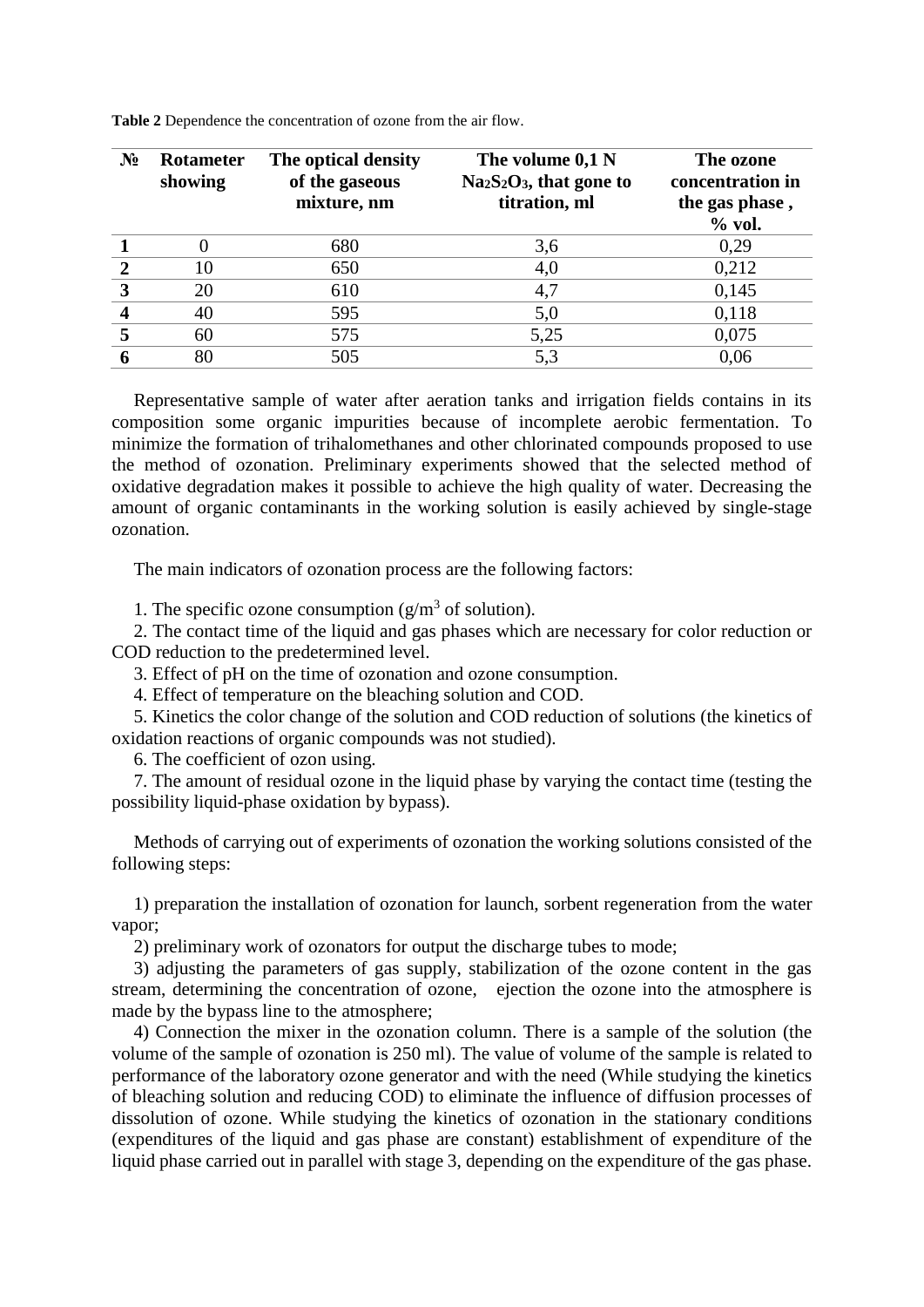| $N_2$ | <b>Rotameter</b><br>showing | The optical density<br>of the gaseous<br>mixture, nm | The volume 0,1 N<br>$Na2S2O3$ , that gone to<br>titration, ml | The ozone<br>concentration in<br>the gas phase,<br>$%$ vol. |
|-------|-----------------------------|------------------------------------------------------|---------------------------------------------------------------|-------------------------------------------------------------|
|       |                             | 680                                                  | 3,6                                                           | 0,29                                                        |
|       | 10                          | 650                                                  | 4,0                                                           | 0,212                                                       |
| 3     | 20                          | 610                                                  | 4,7                                                           | 0,145                                                       |
|       | 40                          | 595                                                  | 5,0                                                           | 0,118                                                       |
|       | 60                          | 575                                                  | 5,25                                                          | 0,075                                                       |
|       | 80                          | 505                                                  | 5,3                                                           | 0,06                                                        |

**Table 2** Dependence the concentration of ozone from the air flow.

Representative sample of water after aeration tanks and irrigation fields contains in its composition some organic impurities because of incomplete aerobic fermentation. To minimize the formation of trihalomethanes and other chlorinated compounds proposed to use the method of ozonation. Preliminary experiments showed that the selected method of oxidative degradation makes it possible to achieve the high quality of water. Decreasing the amount of organic contaminants in the working solution is easily achieved by single-stage ozonation.

The main indicators of ozonation process are the following factors:

1. The specific ozone consumption  $(g/m<sup>3</sup>$  of solution).

2. The contact time of the liquid and gas phases which are necessary for color reduction or COD reduction to the predetermined level.

3. Effect of pH on the time of ozonation and ozone consumption.

4. Effect of temperature on the bleaching solution and COD.

5. Kinetics the color change of the solution and COD reduction of solutions (the kinetics of oxidation reactions of organic compounds was not studied).

6. The coefficient of ozon using.

7. The amount of residual ozone in the liquid phase by varying the contact time (testing the possibility liquid-phase oxidation by bypass).

Methods of carrying out of experiments of ozonation the working solutions consisted of the following steps:

1) preparation the installation of ozonation for launch, sorbent regeneration from the water vapor;

2) preliminary work of ozonators for output the discharge tubes to mode;

3) adjusting the parameters of gas supply, stabilization of the ozone content in the gas stream, determining the concentration of ozone, ejection the ozone into the atmosphere is made by the bypass line to the atmosphere;

4) Connection the mixer in the ozonation column. There is a sample of the solution (the volume of the sample of ozonation is 250 ml). The value of volume of the sample is related to performance of the laboratory ozone generator and with the need (While studying the kinetics of bleaching solution and reducing COD) to eliminate the influence of diffusion processes of dissolution of ozone. While studying the kinetics of ozonation in the stationary conditions (expenditures of the liquid and gas phase are constant) establishment of expenditure of the liquid phase carried out in parallel with stage 3, depending on the expenditure of the gas phase.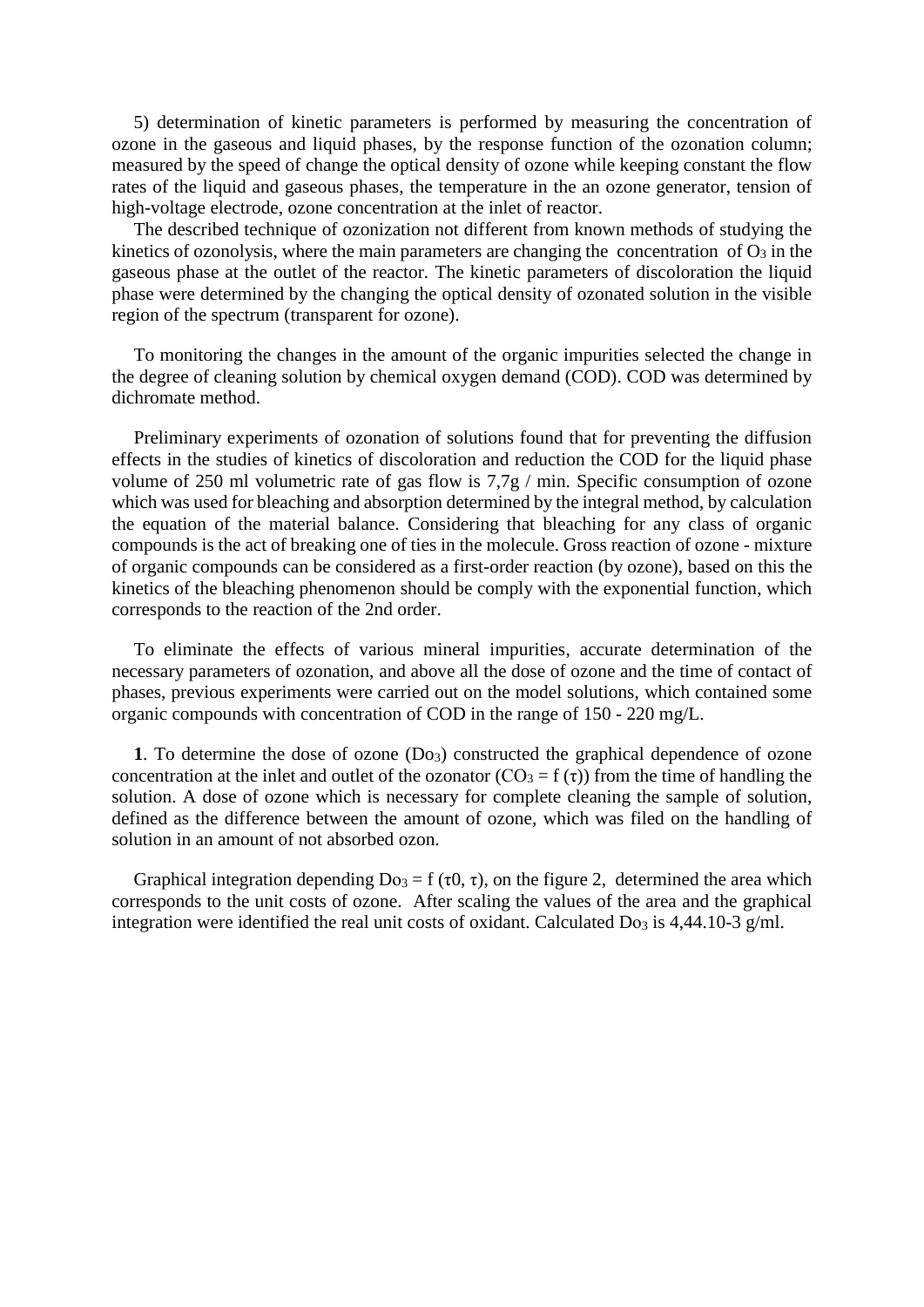5) determination of kinetic parameters is performed by measuring the concentration of ozone in the gaseous and liquid phases, by the response function of the ozonation column; measured by the speed of change the optical density of ozone while keeping constant the flow rates of the liquid and gaseous phases, the temperature in the an ozone generator, tension of high-voltage electrode, ozone concentration at the inlet of reactor.

The described technique of ozonization not different from known methods of studying the kinetics of ozonolysis, where the main parameters are changing the concentration of  $\overline{O_3}$  in the gaseous phase at the outlet of the reactor. The kinetic parameters of discoloration the liquid phase were determined by the changing the optical density of ozonated solution in the visible region of the spectrum (transparent for ozone).

To monitoring the changes in the amount of the organic impurities selected the change in the degree of cleaning solution by chemical oxygen demand (COD). COD was determined by dichromate method.

Preliminary experiments of ozonation of solutions found that for preventing the diffusion effects in the studies of kinetics of discoloration and reduction the COD for the liquid phase volume of 250 ml volumetric rate of gas flow is 7,7g / min. Specific consumption of ozone which was used for bleaching and absorption determined by the integral method, by calculation the equation of the material balance. Considering that bleaching for any class of organic compounds is the act of breaking one of ties in the molecule. Gross reaction of ozone - mixture of organic compounds can be considered as a first-order reaction (by ozone), based on this the kinetics of the bleaching phenomenon should be comply with the exponential function, which corresponds to the reaction of the 2nd order.

To eliminate the effects of various mineral impurities, accurate determination of the necessary parameters of ozonation, and above all the dose of ozone and the time of contact of phases, previous experiments were carried out on the model solutions, which contained some organic compounds with concentration of COD in the range of 150 - 220 mg/L.

**1**. To determine the dose of ozone  $(D<sub>03</sub>)$  constructed the graphical dependence of ozone concentration at the inlet and outlet of the ozonator ( $CO_3 = f(\tau)$ ) from the time of handling the solution. A dose of ozone which is necessary for complete cleaning the sample of solution, defined as the difference between the amount of ozone, which was filed on the handling of solution in an amount of not absorbed ozon.

Graphical integration depending  $Do_3 = f(\tau 0, \tau)$ , on the figure 2, determined the area which corresponds to the unit costs of ozone. After scaling the values of the area and the graphical integration were identified the real unit costs of oxidant. Calculated Do<sub>3</sub> is 4,44.10-3 g/ml.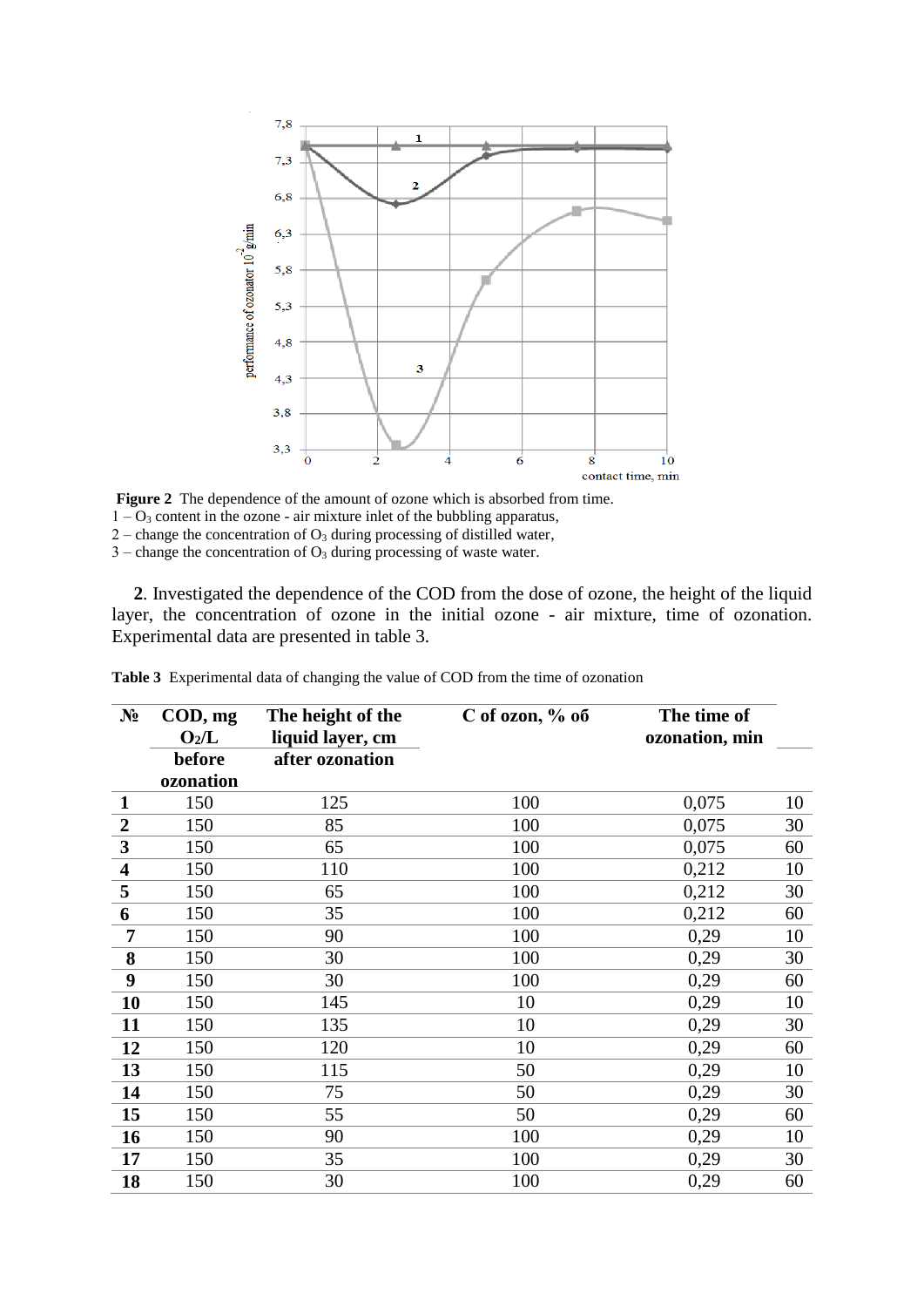

**Figure 2** The dependence of the amount of ozone which is absorbed from time.  $1 - O_3$  content in the ozone - air mixture inlet of the bubbling apparatus,  $2$  – change the concentration of  $O_3$  during processing of distilled water,  $3$  – change the concentration of  $O_3$  during processing of waste water.

**2**. Investigated the dependence of the COD from the dose of ozone, the height of the liquid layer, the concentration of ozone in the initial ozone - air mixture, time of ozonation. Experimental data are presented in table 3.

| $N_2$                   | $\mathbf{COD}, \mathbf{mg}$<br>$O_2/L$ | The height of the<br>liquid layer, cm | C of ozon, $%$ o <sub>6</sub> | The time of<br>ozonation, min |    |
|-------------------------|----------------------------------------|---------------------------------------|-------------------------------|-------------------------------|----|
|                         | before                                 | after ozonation                       |                               |                               |    |
|                         | ozonation                              |                                       |                               |                               |    |
| $\mathbf{1}$            | 150                                    | 125                                   | 100                           | 0,075                         | 10 |
| $\boldsymbol{2}$        | 150                                    | 85                                    | 100                           | 0,075                         | 30 |
| $\mathbf{3}$            | 150                                    | 65                                    | 100                           | 0,075                         | 60 |
| $\overline{\mathbf{4}}$ | 150                                    | 110                                   | 100                           | 0,212                         | 10 |
| 5                       | 150                                    | 65                                    | 100                           | 0,212                         | 30 |
| 6                       | 150                                    | 35                                    | 100                           | 0,212                         | 60 |
| 7                       | 150                                    | 90                                    | 100                           | 0,29                          | 10 |
| 8                       | 150                                    | 30                                    | 100                           | 0,29                          | 30 |
| 9                       | 150                                    | 30                                    | 100                           | 0,29                          | 60 |
| 10                      | 150                                    | 145                                   | 10                            | 0,29                          | 10 |
| 11                      | 150                                    | 135                                   | 10                            | 0,29                          | 30 |
| 12                      | 150                                    | 120                                   | 10                            | 0,29                          | 60 |
| 13                      | 150                                    | 115                                   | 50                            | 0,29                          | 10 |
| 14                      | 150                                    | 75                                    | 50                            | 0,29                          | 30 |
| 15                      | 150                                    | 55                                    | 50                            | 0,29                          | 60 |
| 16                      | 150                                    | 90                                    | 100                           | 0,29                          | 10 |
| 17                      | 150                                    | 35                                    | 100                           | 0,29                          | 30 |
| 18                      | 150                                    | 30                                    | 100                           | 0,29                          | 60 |

**Table 3** Experimental data of changing the value of COD from the time of ozonation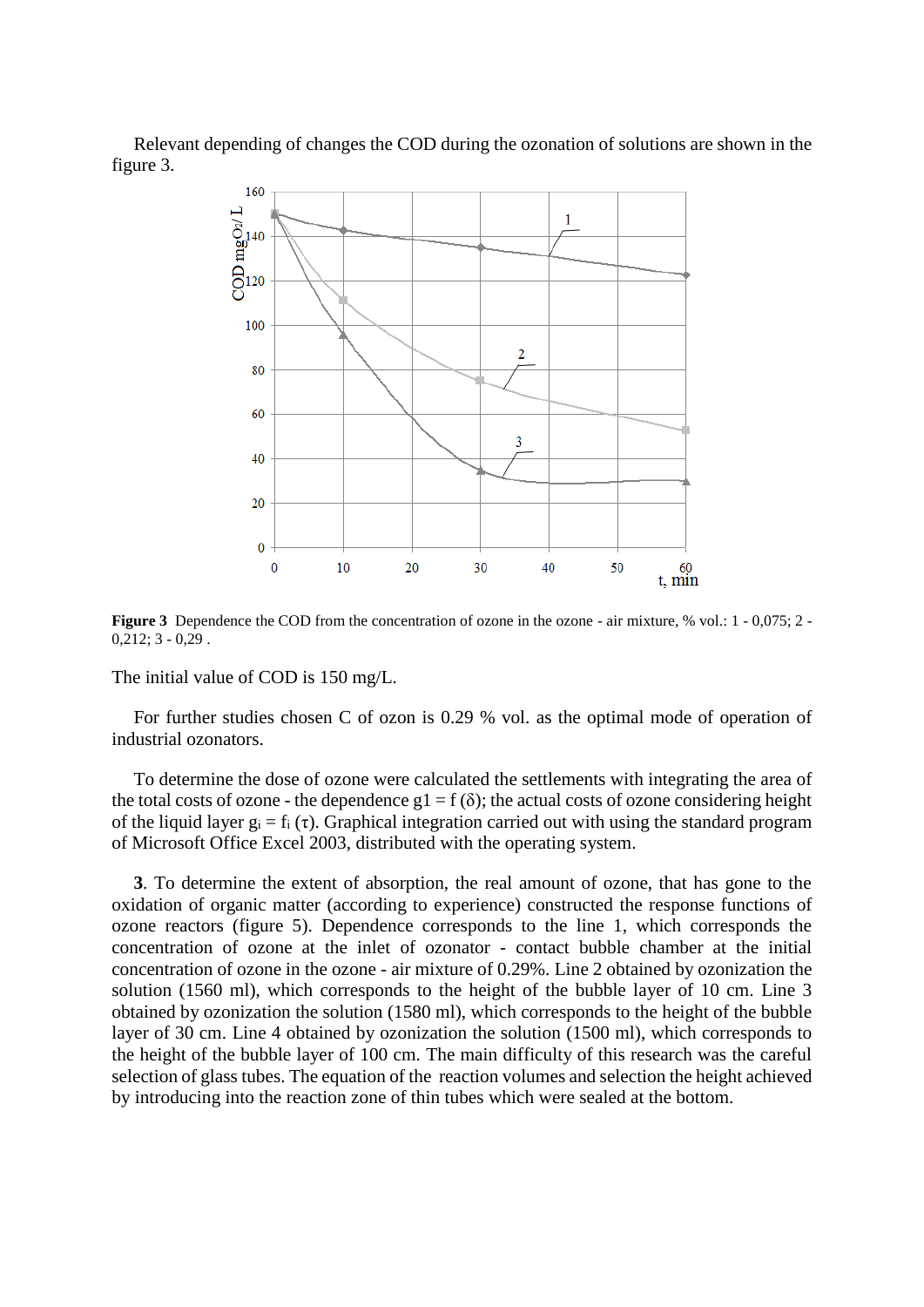Relevant depending of changes the COD during the ozonation of solutions are shown in the figure 3.



**Figure 3** Dependence the COD from the concentration of ozone in the ozone - air mixture, % vol.: 1 - 0,075; 2 - $0,212; 3 - 0,29$ .

The initial value of COD is 150 mg/L.

For further studies chosen C of ozon is 0.29 % vol. as the optimal mode of operation of industrial ozonators.

To determine the dose of ozone were calculated the settlements with integrating the area of the total costs of ozone - the dependence  $g1 = f(\delta)$ ; the actual costs of ozone considering height of the liquid layer  $g_i = f_i(\tau)$ . Graphical integration carried out with using the standard program of Microsoft Office Excel 2003, distributed with the operating system.

**3**. To determine the extent of absorption, the real amount of ozone, that has gone to the oxidation of organic matter (according to experience) constructed the response functions of ozone reactors (figure 5). Dependence corresponds to the line 1, which corresponds the concentration of ozone at the inlet of ozonator - contact bubble chamber at the initial concentration of ozone in the ozone - air mixture of 0.29%. Line 2 obtained by ozonization the solution (1560 ml), which corresponds to the height of the bubble layer of 10 cm. Line 3 obtained by ozonization the solution (1580 ml), which corresponds to the height of the bubble layer of 30 cm. Line 4 obtained by ozonization the solution (1500 ml), which corresponds to the height of the bubble layer of 100 cm. The main difficulty of this research was the careful selection of glass tubes. The equation of the reaction volumes and selection the height achieved by introducing into the reaction zone of thin tubes which were sealed at the bottom.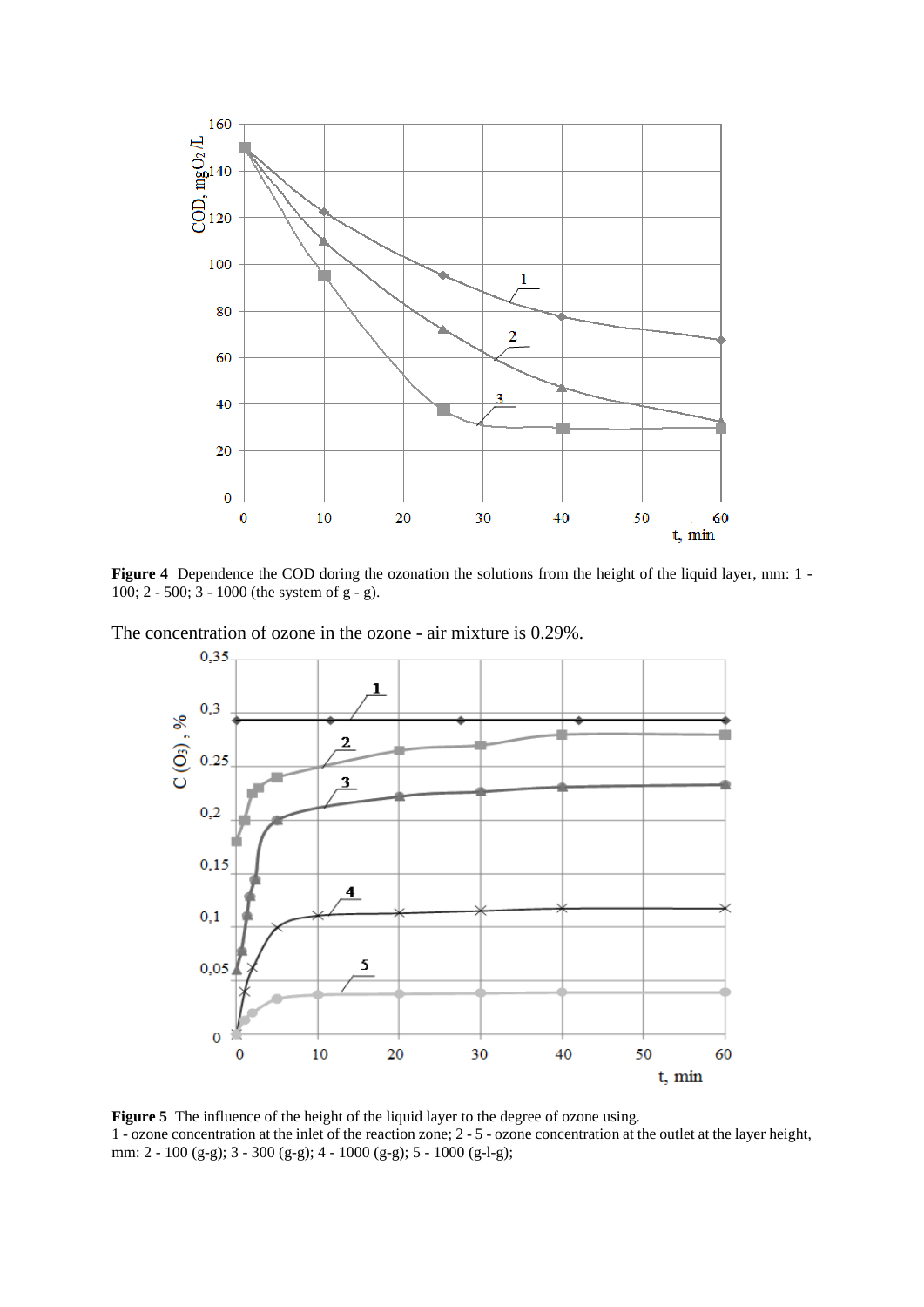

**Figure 4** Dependence the COD doring the ozonation the solutions from the height of the liquid layer, mm: 1 -100; 2 - 500; 3 - 1000 (the system of g - g).

The concentration of ozone in the ozone - air mixture is 0.29%.



**Figure 5** The influence of the height of the liquid layer to the degree of ozone using. 1 - ozone concentration at the inlet of the reaction zone; 2 - 5 - ozone concentration at the outlet at the layer height, mm: 2 - 100 (g-g); 3 - 300 (g-g); 4 - 1000 (g-g); 5 - 1000 (g-l-g);